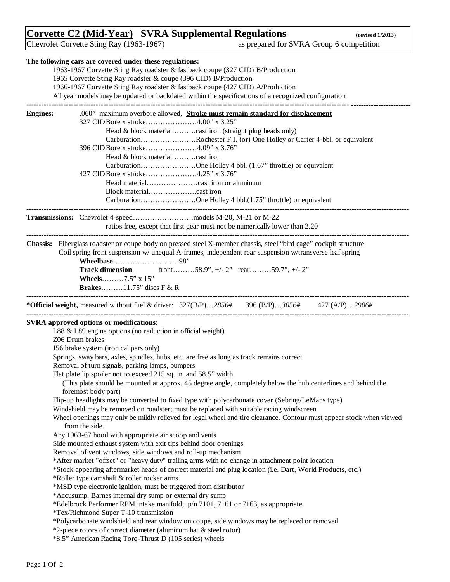## **Corvette C2 (Mid-Year) SVRA Supplemental Regulations (revised 1/2013)**

Chevrolet Corvette Sting Ray (1963-1967) as prepared for SVRA Group 6 competition

|                 | The following cars are covered under these regulations:                                                                          |
|-----------------|----------------------------------------------------------------------------------------------------------------------------------|
|                 | 1963-1967 Corvette Sting Ray roadster & fastback coupe (327 CID) B/Production                                                    |
|                 | 1965 Corvette Sting Ray roadster & coupe (396 CID) B/Production                                                                  |
|                 | 1966-1967 Corvette Sting Ray roadster & fastback coupe (427 CID) A/Production                                                    |
|                 | All year models may be updated or backdated within the specifications of a recognized configuration                              |
|                 |                                                                                                                                  |
| <b>Engines:</b> | .060" maximum overbore allowed, Stroke must remain standard for displacement                                                     |
|                 | 327 CID Bore x stroke4.00" x 3.25"                                                                                               |
|                 | Head & block materialcast iron (straight plug heads only)                                                                        |
|                 | CarburationRochester F.I. (or) One Holley or Carter 4-bbl. or equivalent                                                         |
|                 | 396 CID Bore x stroke4.09" x 3.76"                                                                                               |
|                 |                                                                                                                                  |
|                 | CarburationOne Holley 4 bbl. (1.67" throttle) or equivalent                                                                      |
|                 | 427 CID Bore x stroke4.25" x 3.76"                                                                                               |
|                 |                                                                                                                                  |
|                 |                                                                                                                                  |
|                 | CarburationOne Holley 4 bbl.(1.75" throttle) or equivalent                                                                       |
|                 |                                                                                                                                  |
|                 | ratios free, except that first gear must not be numerically lower than 2.20                                                      |
|                 |                                                                                                                                  |
|                 | Chassis: Fiberglass roadster or coupe body on pressed steel X-member chassis, steel "bird cage" cockpit structure                |
|                 | Coil spring front suspension w/ unequal A-frames, independent rear suspension w/transverse leaf spring                           |
|                 |                                                                                                                                  |
|                 | Wheelbase98"                                                                                                                     |
|                 | <b>Track dimension,</b> front58.9", $+/- 2$ " rear59.7", $+/- 2$ "                                                               |
|                 | Wheels7.5" x 15"                                                                                                                 |
|                 | <b>Brakes</b> 11.75" discs $F & R$                                                                                               |
|                 |                                                                                                                                  |
|                 | <b>*Official weight,</b> measured without fuel & driver: $327(B/P) \dots 2856\#$ $396(B/P) \dots 3056\#$ $427(A/P) \dots 2906\#$ |
|                 |                                                                                                                                  |
|                 | SVRA approved options or modifications:                                                                                          |
|                 | L88 & L89 engine options (no reduction in official weight)                                                                       |
|                 | Z06 Drum brakes                                                                                                                  |
|                 | J56 brake system (iron calipers only)                                                                                            |
|                 | Springs, sway bars, axles, spindles, hubs, etc. are free as long as track remains correct                                        |
|                 | Removal of turn signals, parking lamps, bumpers                                                                                  |
|                 | Flat plate lip spoiler not to exceed 215 sq. in. and 58.5" width                                                                 |
|                 | (This plate should be mounted at approx. 45 degree angle, completely below the hub centerlines and behind the                    |
|                 | foremost body part)                                                                                                              |
|                 | Flip-up headlights may be converted to fixed type with polycarbonate cover (Sebring/LeMans type)                                 |
|                 | Windshield may be removed on roadster; must be replaced with suitable racing windscreen                                          |
|                 | Wheel openings may only be mildly relieved for legal wheel and tire clearance. Contour must appear stock when viewed             |
|                 | from the side.                                                                                                                   |
|                 | Any 1963-67 hood with appropriate air scoop and vents                                                                            |
|                 | Side mounted exhaust system with exit tips behind door openings                                                                  |
|                 | Removal of vent windows, side windows and roll-up mechanism                                                                      |
|                 | *After market "offset" or "heavy duty" trailing arms with no change in attachment point location                                 |
|                 | *Stock appearing aftermarket heads of correct material and plug location (i.e. Dart, World Products, etc.)                       |
|                 | *Roller type camshaft & roller rocker arms                                                                                       |
|                 | *MSD type electronic ignition, must be triggered from distributor                                                                |
|                 | *Accusump, Barnes internal dry sump or external dry sump                                                                         |
|                 | *Edelbrock Performer RPM intake manifold; p/n 7101, 7161 or 7163, as appropriate                                                 |
|                 | *Tex/Richmond Super T-10 transmission                                                                                            |
|                 | *Polycarbonate windshield and rear window on coupe, side windows may be replaced or removed                                      |
|                 | *2-piece rotors of correct diameter (aluminum hat & steel rotor)                                                                 |